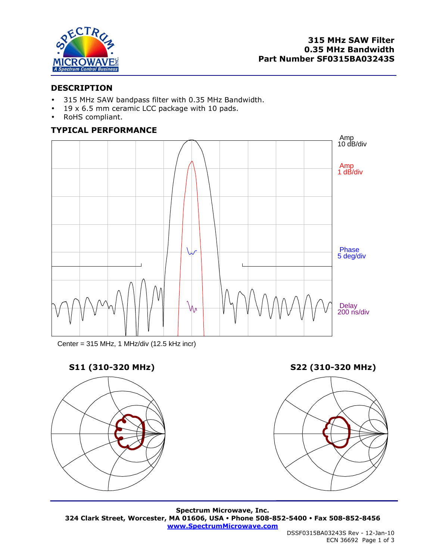

## **DESCRIPTION**

- 315 MHz SAW bandpass filter with 0.35 MHz Bandwidth.
- $19 \times 6.5$  mm ceramic LCC package with 10 pads.
- RoHS compliant.

## **TYPICAL PERFORMANCE**



Center = 315 MHz, 1 MHz/div (12.5 kHz incr)

# **S11 (310-320 MHz) S22 (310-320 MHz)**





**Spectrum Microwave, Inc. 324 Clark Street, Worcester, MA 01606, USA Phone 508-852-5400 Fax 508-852-8456 www.SpectrumMicrowave.com**

 DSSF0315BA03243S Rev - 12-Jan-10 ECN 36692 Page 1 of 3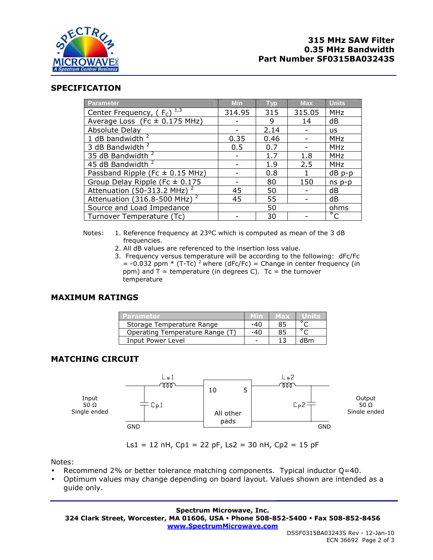

## **SPECIFICATION**

| <b>Parameter</b>                          | <b>Min</b> | <b>Typ</b> | <b>Max</b> | <b>Units</b> |
|-------------------------------------------|------------|------------|------------|--------------|
| Center Frequency, $(F_c)^{\frac{1}{1,3}}$ | 314.95     | 315        | 315.05     | <b>MHz</b>   |
| Average Loss (Fc $\pm$ 0.175 MHz)         |            | 9          | 14         | dB           |
| Absolute Delay                            |            | 2.14       |            | <b>us</b>    |
| 1 dB bandwidth $2$                        | 0.35       | 0.46       |            | <b>MHz</b>   |
| 3 dB Bandwidth <sup>2</sup>               | 0.5        | 0.7        |            | <b>MHz</b>   |
| 35 dB Bandwidth <sup>2</sup>              |            | 1.7        | 1.8        | <b>MHz</b>   |
| 45 dB Bandwidth <sup>2</sup>              |            | 1.9        | 2.5        | <b>MHz</b>   |
| Passband Ripple (Fc $\pm$ 0.15 MHz)       |            | 0.8        |            | $dB$ p-p     |
| Group Delay Ripple (Fc $\pm$ 0.175        |            | 80         | 150        | $ns p-p$     |
| Attenuation (50-313.2 MHz) <sup>2</sup>   | 45         | 50         |            | dB           |
| Attenuation (316.8-500 MHz) <sup>2</sup>  | 45         | 55         |            | dB           |
| Source and Load Impedance                 |            | 50         |            | ohms         |
| Turnover Temperature (Tc)                 |            | 30         |            | $^{\circ}$ C |

- Notes: 1. Reference frequency at 23ºC which is computed as mean of the 3 dB frequencies.
	- 2. All dB values are referenced to the insertion loss value.
	- 3. Frequency versus temperature will be according to the following: dFc/Fc  $=$  -0.032 ppm  $*$  (T-Tc) <sup>2</sup> where (dFc/Fc) = Change in center frequency (in ppm) and  $T =$  temperature (in degrees C).  $Tc =$  the turnover temperature

## **MAXIMUM RATINGS**

| Parametel                       |     | MED3 |     |
|---------------------------------|-----|------|-----|
| Storage Temperature Range       | -40 |      |     |
| Operating Temperature Range (T) |     |      |     |
| Input Power Level               |     |      | dBm |

# **MATCHING CIRCUIT**



Ls1 = 12 nH, Cp1 = 22 pF, Ls2 = 30 nH, Cp2 = 15 pF

Notes:

- Recommend 2% or better tolerance matching components. Typical inductor Q=40.
- Optimum values may change depending on board layout. Values shown are intended as a guide only.

### **Spectrum Microwave, Inc.**

**324 Clark Street, Worcester, MA 01606, USA Phone 508-852-5400 Fax 508-852-8456** 

**www.SpectrumMicrowave.com**